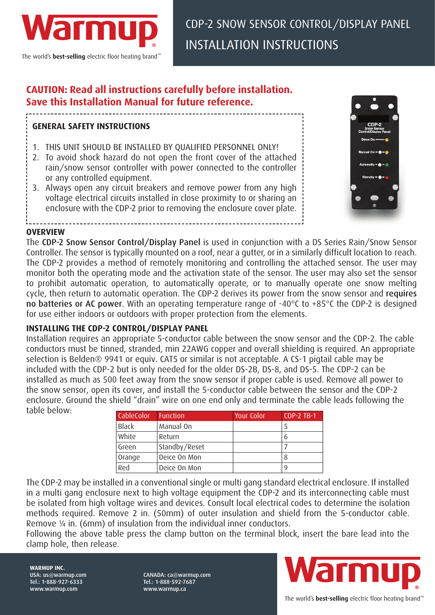

The world's **best-selling** electric floor heating brand<sup>™</sup>

# **CAUTION: Read all instructions carefully before installation. Save this Installation Manual for future reference.**

## **GENERAL SAFETY INSTRUCTIONS**

- 1. THIS UNIT SHOULD BE INSTALLED BY QUALIFIED PERSONNEL ONLY!
- 2. To avoid shock hazard do not open the front cover of the attached rain/snow sensor controller with power connected to the controller or any controlled equipment.
- 3. Always open any circuit breakers and remove power from any high voltage electrical circuits installed in close proximity to or sharing an enclosure with the CDP-2 prior to removing the enclosure cover plate.



#### **OVERVIEW**

**WARMUP INC.**  USA: us@warmup.com Tel.: 1-888-927-6333 www.warmup.com

The CDP-2 Snow Sensor Control/Display Panel is used in conjunction with a DS Series Rain/Snow Sensor Controller. The sensor is typically mounted on a roof, near a gutter, or in a similarly difficult location to reach. The CDP-2 provides a method of remotely monitoring and controlling the attached sensor. The user may monitor both the operating mode and the activation state of the sensor. The user may also set the sensor to prohibit automatic operation, to automatically operate, or to manually operate one snow melting cycle, then return to automatic operation. The CDP-2 derives its power from the snow sensor and requires no batteries or AC power. With an operating temperature range of -40°C to +85°C the CDP-2 is designed for use either indoors or outdoors with proper protection from the elements.

## **INSTALLING THE CDP-2 CONTROL/DISPLAY PANEL**

Installation requires an appropriate 5-conductor cable between the snow sensor and the CDP-2. The cable conductors must be tinned, stranded, min 22AWG copper and overall shielding is required. An appropriate selection is Belden® 9941 or equiv. CAT5 or similar is not acceptable. A CS-1 pigtail cable may be included with the CDP-2 but is only needed for the older DS-2B, DS-8, and DS-5. The CDP-2 can be installed as much as 500 feet away from the snow sensor if proper cable is used. Remove all power to the snow sensor, open its cover, and install the 5-conductor cable between the sensor and the CDP-2 enclosure. Ground the shield "drain" wire on one end only and terminate the cable leads following the table below: CableColor Function Your Color CDP-2 TB-1

| <b>CableColor</b> | <b>Function</b> | Your Color | <b>CDP-2 TB-1</b> |
|-------------------|-----------------|------------|-------------------|
| Black             | Manual On       |            |                   |
| White             | Return          |            | 6                 |
| Green             | Standby/Reset   |            |                   |
| Orange            | Deice On Mon    |            | 8                 |
| Red               | Deice On Mon    |            |                   |

The CDP-2 may be installed in a conventional single or multi gang standard electrical enclosure. If installed in a multi gang enclosure next to high voltage equipment the CDP-2 and its interconnecting cable must be isolated from high voltage wires and devices. Consult local electrical codes to determine the isolation methods required. Remove 2 in. (50mm) of outer insulation and shield from the 5-conductor cable. Remove ¼ in. (6mm) of insulation from the individual inner conductors.

Following the above table press the clamp button on the terminal block, insert the bare lead into the clamp hole, then release.



www.warmup.ca

CANADA: ca@warmup.com Tel.: 1-888-592-7687

The world's **best-selling** electric floor heating brand™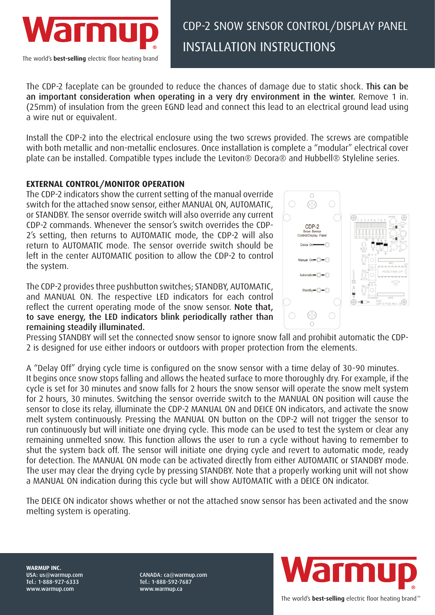

The CDP-2 faceplate can be grounded to reduce the chances of damage due to static shock. This can be an important consideration when operating in a very dry environment in the winter. Remove 1 in. (25mm) of insulation from the green EGND lead and connect this lead to an electrical ground lead using a wire nut or equivalent.

Install the CDP-2 into the electrical enclosure using the two screws provided. The screws are compatible with both metallic and non-metallic enclosures. Once installation is complete a "modular" electrical cover plate can be installed. Compatible types include the Leviton® Decora® and Hubbell® Styleline series.

## **EXTERNAL CONTROL/MONITOR OPERATION**

The CDP-2 indicators show the current setting of the manual override switch for the attached snow sensor, either MANUAL ON, AUTOMATIC, or STANDBY. The sensor override switch will also override any current CDP-2 commands. Whenever the sensor's switch overrides the CDP-2's setting, then returns to AUTOMATIC mode, the CDP-2 will also return to AUTOMATIC mode. The sensor override switch should be left in the center AUTOMATIC position to allow the CDP-2 to control the system.

The CDP-2 provides three pushbutton switches; STANDBY, AUTOMATIC, and MANUAL ON. The respective LED indicators for each control reflect the current operating mode of the snow sensor. Note that, to save energy, the LED indicators blink periodically rather than remaining steadily illuminated.



Pressing STANDBY will set the connected snow sensor to ignore snow fall and prohibit automatic the CDP-2 is designed for use either indoors or outdoors with proper protection from the elements.

A "Delay Off" drying cycle time is configured on the snow sensor with a time delay of 30-90 minutes. It begins once snow stops falling and allows the heated surface to more thoroughly dry. For example, if the cycle is set for 30 minutes and snow falls for 2 hours the snow sensor will operate the snow melt system for 2 hours, 30 minutes. Switching the sensor override switch to the MANUAL ON position will cause the sensor to close its relay, illuminate the CDP-2 MANUAL ON and DEICE ON indicators, and activate the snow melt system continuously. Pressing the MANUAL ON button on the CDP-2 will not trigger the sensor to run continuously but will initiate one drying cycle. This mode can be used to test the system or clear any remaining unmelted snow. This function allows the user to run a cycle without having to remember to shut the system back off. The sensor will initiate one drying cycle and revert to automatic mode, ready for detection. The MANUAL ON mode can be activated directly from either AUTOMATIC or STANDBY mode. The user may clear the drying cycle by pressing STANDBY. Note that a properly working unit will not show a MANUAL ON indication during this cycle but will show AUTOMATIC with a DEICE ON indicator.

The DEICE ON indicator shows whether or not the attached snow sensor has been activated and the snow melting system is operating.

**WARMUP INC.**  USA: us@warmup.com Tel.: 1-888-927-6333 www.warmup.com

CANADA: ca@warmup.com Tel.: 1-888-592-7687 www.warmup.ca



The world's **best-selling** electric floor heating brand™